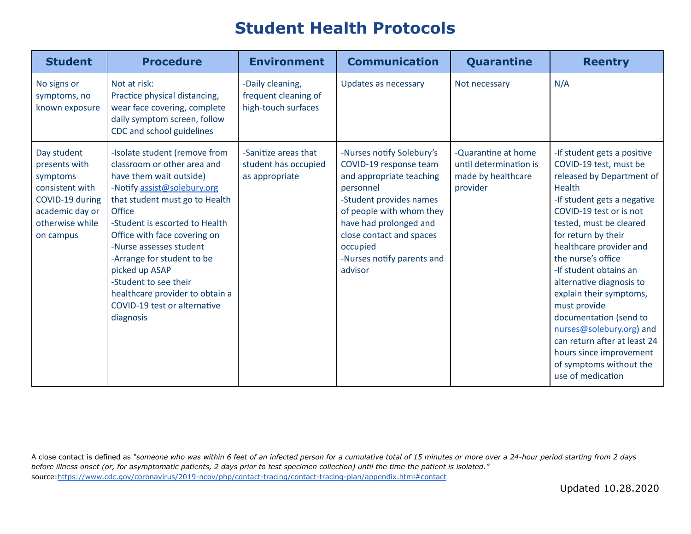## **Student Health Protocols**

| <b>Student</b>                                                                                                                    | <b>Procedure</b>                                                                                                                                                                                                                                                                                                                                                                                                         | <b>Environment</b>                                              | <b>Communication</b>                                                                                                                                                                                                                                           | Quarantine                                                                      | <b>Reentry</b>                                                                                                                                                                                                                                                                                                                                                                                                                                                                                                              |
|-----------------------------------------------------------------------------------------------------------------------------------|--------------------------------------------------------------------------------------------------------------------------------------------------------------------------------------------------------------------------------------------------------------------------------------------------------------------------------------------------------------------------------------------------------------------------|-----------------------------------------------------------------|----------------------------------------------------------------------------------------------------------------------------------------------------------------------------------------------------------------------------------------------------------------|---------------------------------------------------------------------------------|-----------------------------------------------------------------------------------------------------------------------------------------------------------------------------------------------------------------------------------------------------------------------------------------------------------------------------------------------------------------------------------------------------------------------------------------------------------------------------------------------------------------------------|
| No signs or<br>symptoms, no<br>known exposure                                                                                     | Not at risk:<br>Practice physical distancing,<br>wear face covering, complete<br>daily symptom screen, follow<br>CDC and school guidelines                                                                                                                                                                                                                                                                               | -Daily cleaning,<br>frequent cleaning of<br>high-touch surfaces | Updates as necessary                                                                                                                                                                                                                                           | Not necessary                                                                   | N/A                                                                                                                                                                                                                                                                                                                                                                                                                                                                                                                         |
| Day student<br>presents with<br>symptoms<br>consistent with<br>COVID-19 during<br>academic day or<br>otherwise while<br>on campus | -Isolate student (remove from<br>classroom or other area and<br>have them wait outside)<br>-Notify assist@solebury.org<br>that student must go to Health<br>Office<br>-Student is escorted to Health<br>Office with face covering on<br>-Nurse assesses student<br>-Arrange for student to be<br>picked up ASAP<br>-Student to see their<br>healthcare provider to obtain a<br>COVID-19 test or alternative<br>diagnosis | -Sanitize areas that<br>student has occupied<br>as appropriate  | -Nurses notify Solebury's<br>COVID-19 response team<br>and appropriate teaching<br>personnel<br>-Student provides names<br>of people with whom they<br>have had prolonged and<br>close contact and spaces<br>occupied<br>-Nurses notify parents and<br>advisor | -Quarantine at home<br>until determination is<br>made by healthcare<br>provider | -If student gets a positive<br>COVID-19 test, must be<br>released by Department of<br>Health<br>-If student gets a negative<br>COVID-19 test or is not<br>tested, must be cleared<br>for return by their<br>healthcare provider and<br>the nurse's office<br>-If student obtains an<br>alternative diagnosis to<br>explain their symptoms,<br>must provide<br>documentation (send to<br>nurses@solebury.org) and<br>can return after at least 24<br>hours since improvement<br>of symptoms without the<br>use of medication |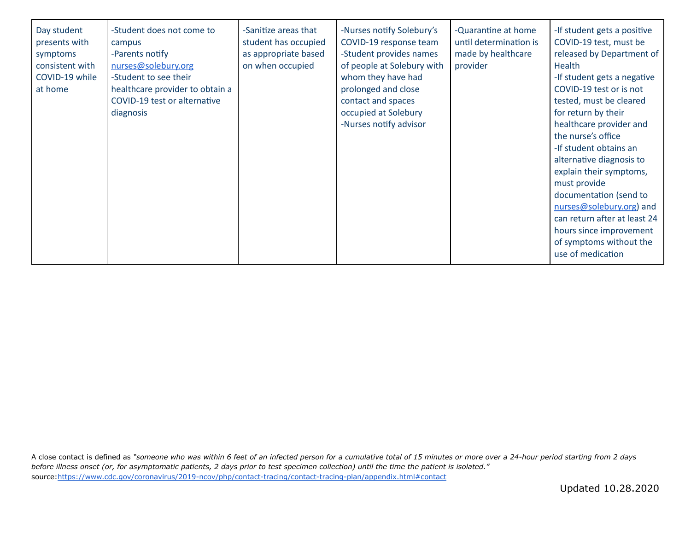| -Student does not come to<br>Day student<br>presents with<br>campus<br>-Parents notify<br>symptoms<br>nurses@solebury.org<br>consistent with<br>COVID-19 while<br>-Student to see their<br>at home<br>healthcare provider to obtain a<br>COVID-19 test or alternative<br>diagnosis | -Sanitize areas that<br>student has occupied<br>as appropriate based<br>on when occupied | -Nurses notify Solebury's<br>COVID-19 response team<br>-Student provides names<br>of people at Solebury with<br>whom they have had<br>prolonged and close<br>contact and spaces<br>occupied at Solebury<br>-Nurses notify advisor | -Quarantine at home<br>until determination is<br>made by healthcare<br>provider | -If student gets a positive<br>COVID-19 test, must be<br>released by Department of<br>Health<br>-If student gets a negative<br>COVID-19 test or is not<br>tested, must be cleared<br>for return by their<br>healthcare provider and<br>the nurse's office<br>-If student obtains an<br>alternative diagnosis to<br>explain their symptoms,<br>must provide<br>documentation (send to<br>nurses@solebury.org) and<br>can return after at least 24<br>hours since improvement<br>of symptoms without the<br>use of medication |
|------------------------------------------------------------------------------------------------------------------------------------------------------------------------------------------------------------------------------------------------------------------------------------|------------------------------------------------------------------------------------------|-----------------------------------------------------------------------------------------------------------------------------------------------------------------------------------------------------------------------------------|---------------------------------------------------------------------------------|-----------------------------------------------------------------------------------------------------------------------------------------------------------------------------------------------------------------------------------------------------------------------------------------------------------------------------------------------------------------------------------------------------------------------------------------------------------------------------------------------------------------------------|
|------------------------------------------------------------------------------------------------------------------------------------------------------------------------------------------------------------------------------------------------------------------------------------|------------------------------------------------------------------------------------------|-----------------------------------------------------------------------------------------------------------------------------------------------------------------------------------------------------------------------------------|---------------------------------------------------------------------------------|-----------------------------------------------------------------------------------------------------------------------------------------------------------------------------------------------------------------------------------------------------------------------------------------------------------------------------------------------------------------------------------------------------------------------------------------------------------------------------------------------------------------------------|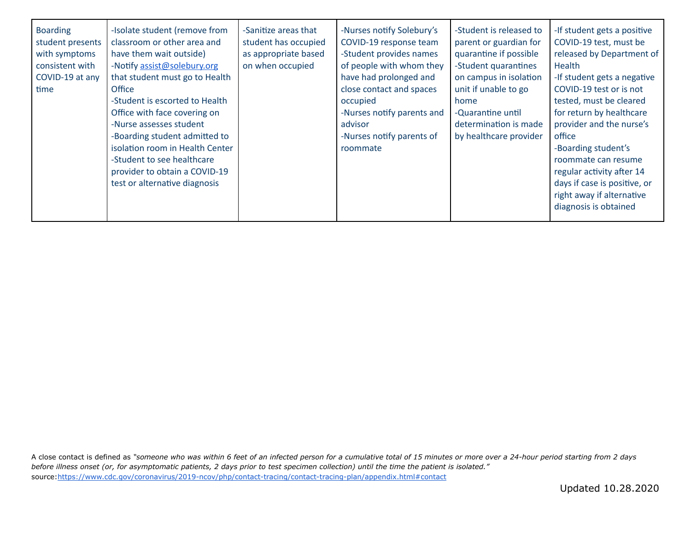| <b>Boarding</b><br>student presents<br>with symptoms<br>consistent with<br>COVID-19 at any<br>time | -Isolate student (remove from<br>classroom or other area and<br>have them wait outside)<br>-Notify assist@solebury.org<br>that student must go to Health<br>Office<br>-Student is escorted to Health<br>Office with face covering on<br>-Nurse assesses student<br>-Boarding student admitted to<br>isolation room in Health Center<br>-Student to see healthcare<br>provider to obtain a COVID-19<br>test or alternative diagnosis | -Sanitize areas that<br>student has occupied<br>as appropriate based<br>on when occupied | -Nurses notify Solebury's<br>COVID-19 response team<br>-Student provides names<br>of people with whom they<br>have had prolonged and<br>close contact and spaces<br>occupied<br>-Nurses notify parents and<br>advisor<br>-Nurses notify parents of<br>roommate | -Student is released to<br>parent or guardian for<br>quarantine if possible<br>-Student quarantines<br>on campus in isolation<br>unit if unable to go<br>home<br>-Quarantine until<br>determination is made<br>by healthcare provider | -If student gets a positive<br>COVID-19 test, must be<br>released by Department of<br>Health<br>-If student gets a negative<br>COVID-19 test or is not<br>tested, must be cleared<br>for return by healthcare<br>provider and the nurse's<br>office<br>-Boarding student's<br>roommate can resume<br>regular activity after 14<br>days if case is positive, or<br>right away if alternative<br>diagnosis is obtained |
|----------------------------------------------------------------------------------------------------|-------------------------------------------------------------------------------------------------------------------------------------------------------------------------------------------------------------------------------------------------------------------------------------------------------------------------------------------------------------------------------------------------------------------------------------|------------------------------------------------------------------------------------------|----------------------------------------------------------------------------------------------------------------------------------------------------------------------------------------------------------------------------------------------------------------|---------------------------------------------------------------------------------------------------------------------------------------------------------------------------------------------------------------------------------------|----------------------------------------------------------------------------------------------------------------------------------------------------------------------------------------------------------------------------------------------------------------------------------------------------------------------------------------------------------------------------------------------------------------------|
|----------------------------------------------------------------------------------------------------|-------------------------------------------------------------------------------------------------------------------------------------------------------------------------------------------------------------------------------------------------------------------------------------------------------------------------------------------------------------------------------------------------------------------------------------|------------------------------------------------------------------------------------------|----------------------------------------------------------------------------------------------------------------------------------------------------------------------------------------------------------------------------------------------------------------|---------------------------------------------------------------------------------------------------------------------------------------------------------------------------------------------------------------------------------------|----------------------------------------------------------------------------------------------------------------------------------------------------------------------------------------------------------------------------------------------------------------------------------------------------------------------------------------------------------------------------------------------------------------------|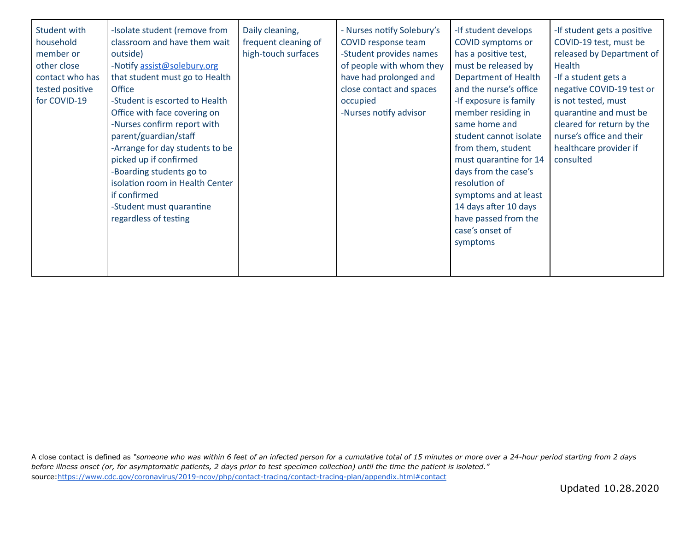| Student with<br>household<br>member or<br>other close<br>contact who has<br>tested positive<br>for COVID-19 | -Isolate student (remove from<br>classroom and have them wait<br>outside)<br>-Notify assist@solebury.org<br>that student must go to Health<br>Office<br>-Student is escorted to Health<br>Office with face covering on<br>-Nurses confirm report with<br>parent/guardian/staff<br>-Arrange for day students to be<br>picked up if confirmed<br>-Boarding students go to<br>isolation room in Health Center<br>if confirmed<br>-Student must quarantine<br>regardless of testing | Daily cleaning,<br>frequent cleaning of<br>high-touch surfaces | - Nurses notify Solebury's<br>COVID response team<br>-Student provides names<br>of people with whom they<br>have had prolonged and<br>close contact and spaces<br>occupied<br>-Nurses notify advisor | -If student develops<br>COVID symptoms or<br>has a positive test,<br>must be released by<br><b>Department of Health</b><br>and the nurse's office<br>-If exposure is family<br>member residing in<br>same home and<br>student cannot isolate<br>from them, student<br>must quarantine for 14<br>days from the case's<br>resolution of<br>symptoms and at least<br>14 days after 10 days<br>have passed from the<br>case's onset of<br>symptoms | -If student gets a positive<br>COVID-19 test, must be<br>released by Department of<br>Health<br>-If a student gets a<br>negative COVID-19 test or<br>is not tested, must<br>quarantine and must be<br>cleared for return by the<br>nurse's office and their<br>healthcare provider if<br>consulted |
|-------------------------------------------------------------------------------------------------------------|---------------------------------------------------------------------------------------------------------------------------------------------------------------------------------------------------------------------------------------------------------------------------------------------------------------------------------------------------------------------------------------------------------------------------------------------------------------------------------|----------------------------------------------------------------|------------------------------------------------------------------------------------------------------------------------------------------------------------------------------------------------------|------------------------------------------------------------------------------------------------------------------------------------------------------------------------------------------------------------------------------------------------------------------------------------------------------------------------------------------------------------------------------------------------------------------------------------------------|----------------------------------------------------------------------------------------------------------------------------------------------------------------------------------------------------------------------------------------------------------------------------------------------------|
|-------------------------------------------------------------------------------------------------------------|---------------------------------------------------------------------------------------------------------------------------------------------------------------------------------------------------------------------------------------------------------------------------------------------------------------------------------------------------------------------------------------------------------------------------------------------------------------------------------|----------------------------------------------------------------|------------------------------------------------------------------------------------------------------------------------------------------------------------------------------------------------------|------------------------------------------------------------------------------------------------------------------------------------------------------------------------------------------------------------------------------------------------------------------------------------------------------------------------------------------------------------------------------------------------------------------------------------------------|----------------------------------------------------------------------------------------------------------------------------------------------------------------------------------------------------------------------------------------------------------------------------------------------------|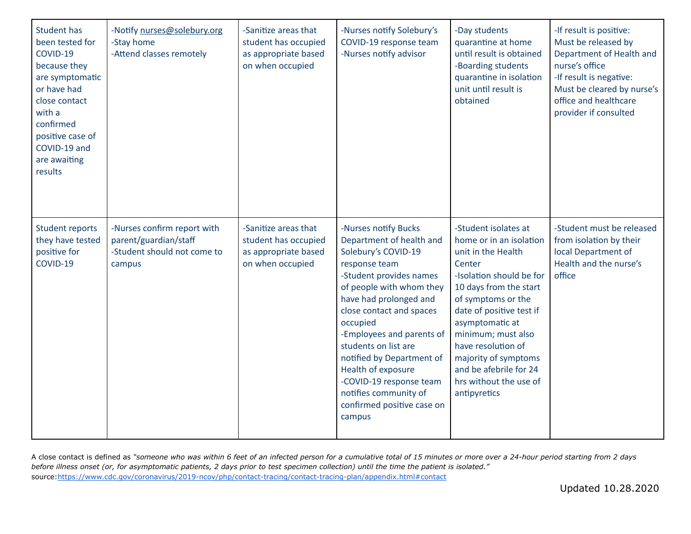| <b>Student has</b><br>been tested for<br>COVID-19<br>because they<br>are symptomatic<br>or have had<br>close contact<br>with a<br>confirmed<br>positive case of<br>COVID-19 and<br>are awaiting<br>results | -Notify nurses@solebury.org<br>-Stay home<br>-Attend classes remotely                         | -Sanitize areas that<br>student has occupied<br>as appropriate based<br>on when occupied | -Nurses notify Solebury's<br>COVID-19 response team<br>-Nurses notify advisor                                                                                                                                                                                                                                                                                                                                         | -Day students<br>quarantine at home<br>until result is obtained<br>-Boarding students<br>quarantine in isolation<br>unit until result is<br>obtained                                                                                                                                                                                               | -If result is positive:<br>Must be released by<br>Department of Health and<br>nurse's office<br>-If result is negative:<br>Must be cleared by nurse's<br>office and healthcare<br>provider if consulted |
|------------------------------------------------------------------------------------------------------------------------------------------------------------------------------------------------------------|-----------------------------------------------------------------------------------------------|------------------------------------------------------------------------------------------|-----------------------------------------------------------------------------------------------------------------------------------------------------------------------------------------------------------------------------------------------------------------------------------------------------------------------------------------------------------------------------------------------------------------------|----------------------------------------------------------------------------------------------------------------------------------------------------------------------------------------------------------------------------------------------------------------------------------------------------------------------------------------------------|---------------------------------------------------------------------------------------------------------------------------------------------------------------------------------------------------------|
| <b>Student reports</b><br>they have tested<br>positive for<br>COVID-19                                                                                                                                     | -Nurses confirm report with<br>parent/guardian/staff<br>-Student should not come to<br>campus | -Sanitize areas that<br>student has occupied<br>as appropriate based<br>on when occupied | -Nurses notify Bucks<br>Department of health and<br>Solebury's COVID-19<br>response team<br>-Student provides names<br>of people with whom they<br>have had prolonged and<br>close contact and spaces<br>occupied<br>-Employees and parents of<br>students on list are<br>notified by Department of<br>Health of exposure<br>-COVID-19 response team<br>notifies community of<br>confirmed positive case on<br>campus | -Student isolates at<br>home or in an isolation<br>unit in the Health<br>Center<br>-Isolation should be for<br>10 days from the start<br>of symptoms or the<br>date of positive test if<br>asymptomatic at<br>minimum; must also<br>have resolution of<br>majority of symptoms<br>and be afebrile for 24<br>hrs without the use of<br>antipyretics | -Student must be released<br>from isolation by their<br>local Department of<br>Health and the nurse's<br>office                                                                                         |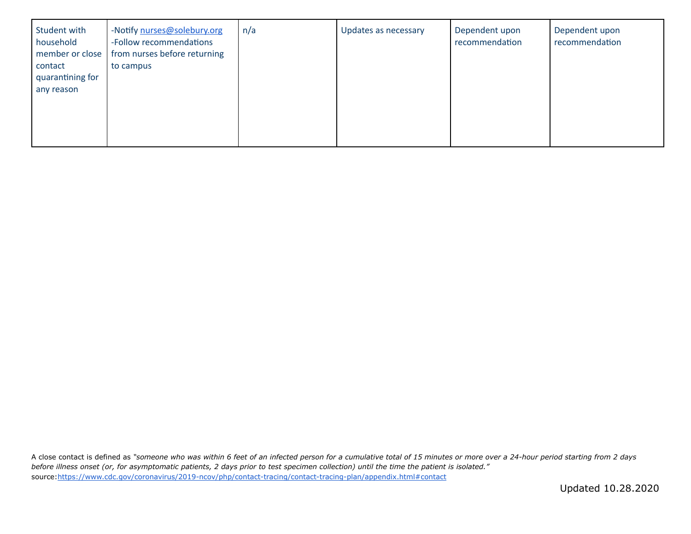| Student with<br>household<br>member or close<br>contact<br>quarantining for<br>any reason | -Notify nurses@solebury.org<br>-Follow recommendations<br>from nurses before returning<br>to campus | n/a | Updates as necessary | Dependent upon<br>recommendation | Dependent upon<br>recommendation |
|-------------------------------------------------------------------------------------------|-----------------------------------------------------------------------------------------------------|-----|----------------------|----------------------------------|----------------------------------|
|                                                                                           |                                                                                                     |     |                      |                                  |                                  |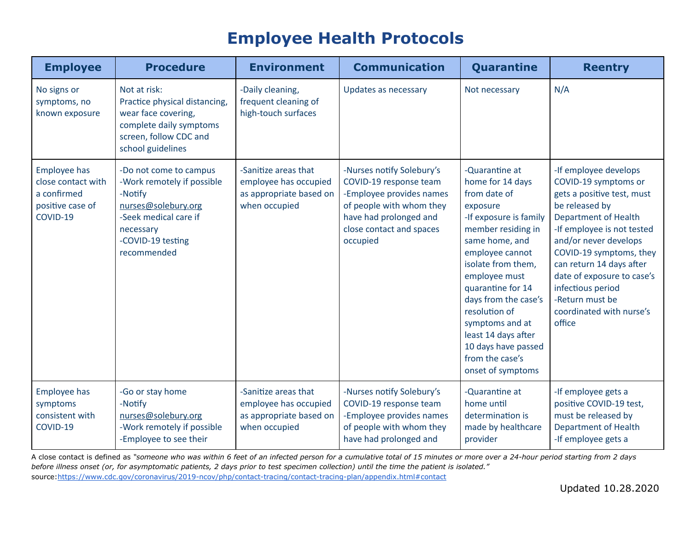## **Employee Health Protocols**

| <b>Employee</b>                                                                          | <b>Procedure</b>                                                                                                                                                 | <b>Environment</b>                                                                        | <b>Communication</b>                                                                                                                                                          | Quarantine                                                                                                                                                                                                                                                                                                                                                        | <b>Reentry</b>                                                                                                                                                                                                                                                                                                                                         |
|------------------------------------------------------------------------------------------|------------------------------------------------------------------------------------------------------------------------------------------------------------------|-------------------------------------------------------------------------------------------|-------------------------------------------------------------------------------------------------------------------------------------------------------------------------------|-------------------------------------------------------------------------------------------------------------------------------------------------------------------------------------------------------------------------------------------------------------------------------------------------------------------------------------------------------------------|--------------------------------------------------------------------------------------------------------------------------------------------------------------------------------------------------------------------------------------------------------------------------------------------------------------------------------------------------------|
| No signs or<br>symptoms, no<br>known exposure                                            | Not at risk:<br>Practice physical distancing,<br>wear face covering,<br>complete daily symptoms<br>screen, follow CDC and<br>school guidelines                   | -Daily cleaning,<br>frequent cleaning of<br>high-touch surfaces                           | Updates as necessary                                                                                                                                                          | Not necessary                                                                                                                                                                                                                                                                                                                                                     | N/A                                                                                                                                                                                                                                                                                                                                                    |
| <b>Employee has</b><br>close contact with<br>a confirmed<br>positive case of<br>COVID-19 | -Do not come to campus<br>-Work remotely if possible<br>-Notify<br>nurses@solebury.org<br>-Seek medical care if<br>necessary<br>-COVID-19 testing<br>recommended | -Sanitize areas that<br>employee has occupied<br>as appropriate based on<br>when occupied | -Nurses notify Solebury's<br>COVID-19 response team<br>-Employee provides names<br>of people with whom they<br>have had prolonged and<br>close contact and spaces<br>occupied | -Quarantine at<br>home for 14 days<br>from date of<br>exposure<br>-If exposure is family<br>member residing in<br>same home, and<br>employee cannot<br>isolate from them,<br>employee must<br>quarantine for 14<br>days from the case's<br>resolution of<br>symptoms and at<br>least 14 days after<br>10 days have passed<br>from the case's<br>onset of symptoms | -If employee develops<br>COVID-19 symptoms or<br>gets a positive test, must<br>be released by<br><b>Department of Health</b><br>-If employee is not tested<br>and/or never develops<br>COVID-19 symptoms, they<br>can return 14 days after<br>date of exposure to case's<br>infectious period<br>-Return must be<br>coordinated with nurse's<br>office |
| <b>Employee has</b><br>symptoms<br>consistent with<br>COVID-19                           | -Go or stay home<br>-Notify<br>nurses@solebury.org<br>-Work remotely if possible<br>-Employee to see their                                                       | -Sanitize areas that<br>employee has occupied<br>as appropriate based on<br>when occupied | -Nurses notify Solebury's<br>COVID-19 response team<br>-Employee provides names<br>of people with whom they<br>have had prolonged and                                         | -Quarantine at<br>home until<br>determination is<br>made by healthcare<br>provider                                                                                                                                                                                                                                                                                | -If employee gets a<br>positive COVID-19 test,<br>must be released by<br><b>Department of Health</b><br>-If employee gets a                                                                                                                                                                                                                            |